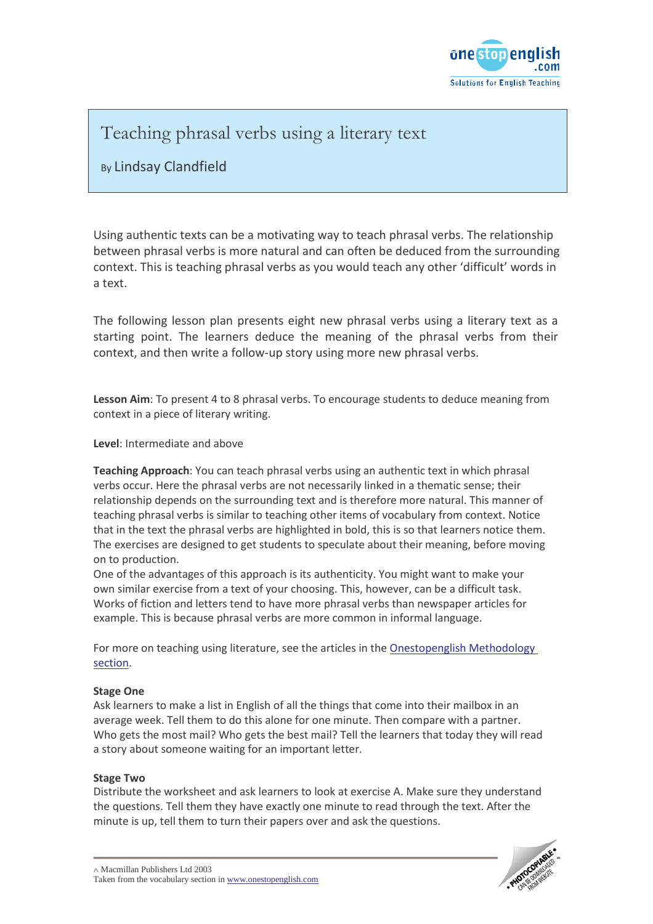

### Teaching phrasal verbs using a literary text

### By Lindsay Clandfield

Using authentic texts can be a motivating way to teach phrasal verbs. The relationship between phrasal verbs is more natural and can often be deduced from the surrounding context. This is teaching phrasal verbs as you would teach any other 'difficult' words in a text.

The following lesson plan presents eight new phrasal verbs using a literary text as a starting point. The learners deduce the meaning of the phrasal verbs from their context, and then write a follow-up story using more new phrasal verbs.

**Lesson Aim**: To present 4 to 8 phrasal verbs. To encourage students to deduce meaning from context in a piece of literary writing.

#### **Level**: Intermediate and above

**Teaching Approach**: You can teach phrasal verbs using an authentic text in which phrasal verbs occur. Here the phrasal verbs are not necessarily linked in a thematic sense; their relationship depends on the surrounding text and is therefore more natural. This manner of teaching phrasal verbs is similar to teaching other items of vocabulary from context. Notice that in the text the phrasal verbs are highlighted in bold, this is so that learners notice them. The exercises are designed to get students to speculate about their meaning, before moving on to production.

One of the advantages of this approach is its authenticity. You might want to make your own similar exercise from a text of your choosing. This, however, can be a difficult task. Works of fiction and letters tend to have more phrasal verbs than newspaper articles for example. This is because phrasal verbs are more common in informal language.

For more on teaching using literature, see the articles in the Onestopenglish Methodology [section](http://www.onestopenglish.com/News/Magazine/Archive/archive.htm)[.](http://www.onestopenglish.com/methodology/)

#### **Stage One**

Ask learners to make a list in English of all the things that come into their mailbox in an average week. Tell them to do this alone for one minute. Then compare with a partner. Who gets the most mail? Who gets the best mail? Tell the learners that today they will read a story about someone waiting for an important letter.

#### **Stage Two**

Distribute the worksheet and ask learners to look at exercise A. Make sure they understand the questions. Tell them they have exactly one minute to read through the text. After the minute is up, tell them to turn their papers over and ask the questions.

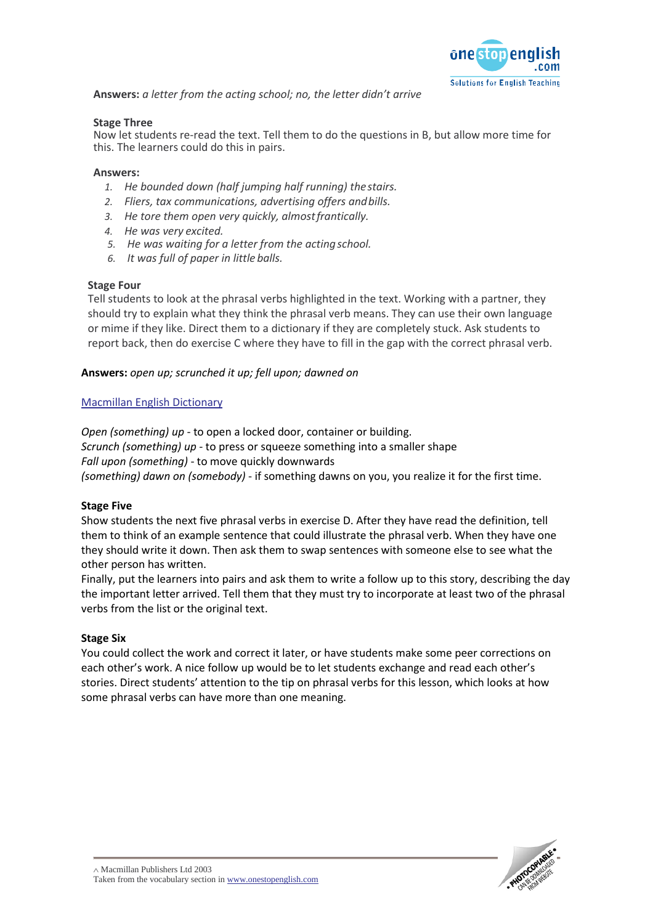

**Answers:** *a letter from the acting school; no, the letter didn't arrive*

#### **Stage Three**

Now let students re-read the text. Tell them to do the questions in B, but allow more time for this. The learners could do this in pairs.

#### **Answers:**

- *1. He bounded down (half jumping half running) thestairs.*
- *2. Fliers, tax communications, advertising offers andbills.*
- *3. He tore them open very quickly, almostfrantically.*
- *4. He was very excited.*
- *5. He was waiting for a letter from the actingschool.*
- *6. It was full of paper in little balls.*

#### **Stage Four**

Tell students to look at the phrasal verbs highlighted in the text. Working with a partner, they should try to explain what they think the phrasal verb means. They can use their own language or mime if they like. Direct them to a dictionary if they are completely stuck. Ask students to report back, then do exercise C where they have to fill in the gap with the correct phrasal verb.

#### **Answers:** *open up; scrunched it up; fell upon; dawned on*

#### Macmillan English Dictionary

*Open (something) up* - to open a locked door, container or building. *Scrunch (something) up* - to press or squeeze something into a smaller shape *Fall upon (something)* - to move quickly downwards *(something) dawn on (somebody)* - if something dawns on you, you realize it for the first time.

#### **Stage Five**

Show students the next five phrasal verbs in exercise D. After they have read the definition, tell them to think of an example sentence that could illustrate the phrasal verb. When they have one they should write it down. Then ask them to swap sentences with someone else to see what the other person has written.

Finally, put the learners into pairs and ask them to write a follow up to this story, describing the day the important letter arrived. Tell them that they must try to incorporate at least two of the phrasal verbs from the list or the original text.

#### **Stage Six**

You could collect the work and correct it later, or have students make some peer corrections on each other's work. A nice follow up would be to let students exchange and read each other's stories. Direct students' attention to the tip on phrasal verbs for this lesson, which looks at how some phrasal verbs can have more than one meaning.

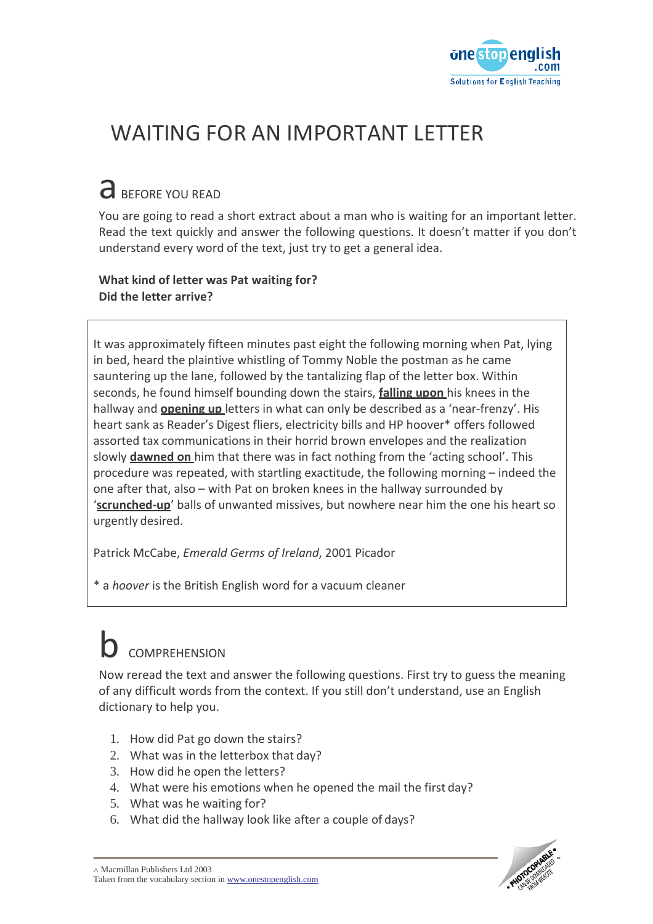

## WAITING FOR AN IMPORTANT LETTER

# a BEFORE YOU READ

You are going to read a short extract about a man who is waiting for an important letter. Read the text quickly and answer the following questions. It doesn't matter if you don't understand every word of the text, just try to get a general idea.

### **What kind of letter was Pat waiting for? Did the letter arrive?**

It was approximately fifteen minutes past eight the following morning when Pat, lying in bed, heard the plaintive whistling of Tommy Noble the postman as he came sauntering up the lane, followed by the tantalizing flap of the letter box. Within seconds, he found himself bounding down the stairs, **falling upon** his knees in the hallway and **opening up** letters in what can only be described as a 'near-frenzy'. His heart sank as Reader's Digest fliers, electricity bills and HP hoover\* offers followed assorted tax communications in their horrid brown envelopes and the realization slowly **dawned on** him that there was in fact nothing from the 'acting school'. This procedure was repeated, with startling exactitude, the following morning – indeed the one after that, also – with Pat on broken knees in the hallway surrounded by '**scrunched-up**' balls of unwanted missives, but nowhere near him the one his heart so urgently desired.

Patrick McCabe, *Emerald Germs of Ireland*, 2001 Picador

\* a *hoover* is the British English word for a vacuum cleaner

# **COMPREHENSION**

Now reread the text and answer the following questions. First try to guess the meaning of any difficult words from the context. If you still don't understand, use an English dictionary to help you.

- 1. How did Pat go down the stairs?
- 2. What was in the letterbox that day?
- 3. How did he open the letters?
- 4. What were his emotions when he opened the mail the first day?
- 5. What was he waiting for?
- 6. What did the hallway look like after a couple of days?

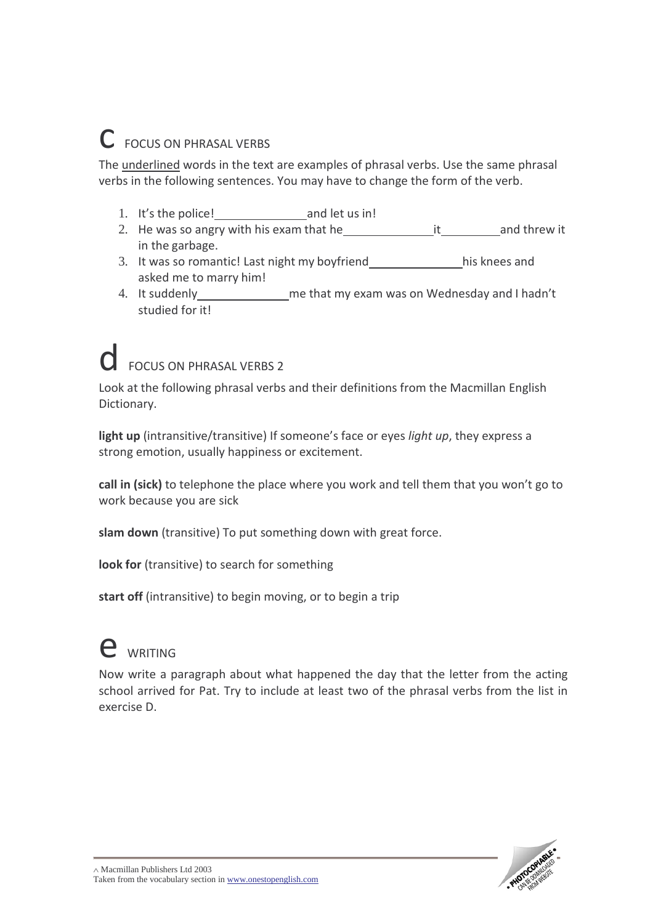## C FOCUS ON PHRASAL VERBS

The underlined words in the text are examples of phrasal verbs. Use the same phrasal verbs in the following sentences. You may have to change the form of the verb.

- 1. It's the police! and let us in!
- 2. He was so angry with his exam that he it and threw it in the garbage.
- 3. It was so romantic! Last night my boyfriend his knees and asked me to marry him!
- 4. It suddenly me that my exam was on Wednesday and I hadn't studied for it!

# FOCUS ON PHRASAL VERBS 2

Look at the following phrasal verbs and their definitions from the Macmillan English Dictionary.

**light up** (intransitive/transitive) If someone's face or eyes *light up*, they express a strong emotion, usually happiness or excitement.

**call in (sick)** to telephone the place where you work and tell them that you won't go to work because you are sick

**slam down** (transitive) To put something down with great force.

**look for** (transitive) to search for something

**start off** (intransitive) to begin moving, or to begin a trip

# e WRITING

Now write a paragraph about what happened the day that the letter from the acting school arrived for Pat. Try to include at least two of the phrasal verbs from the list in exercise D.